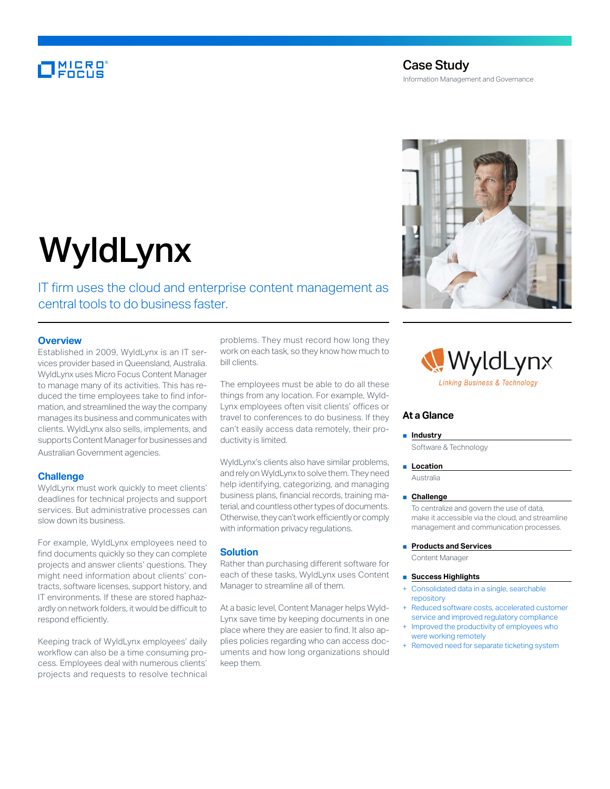# MICRO<br>Encus

# Case Study Information Management and Governance



# WyldLynx

IT firm uses the cloud and enterprise content management as central tools to do business faster.

# **Overview**

Established in 2009, WyldLynx is an IT services provider based in Queensland, Australia. WyldLynx uses Micro Focus Content Manager to manage many of its activities. This has reduced the time employees take to find information, and streamlined the way the company manages its business and communicates with clients. WyldLynx also sells, implements, and supports Content Manager for businesses and Australian Government agencies.

#### **Challenge**

WyldLynx must work quickly to meet clients' deadlines for technical projects and support services. But administrative processes can slow down its business.

For example, WyldLynx employees need to find documents quickly so they can complete projects and answer clients' questions. They might need information about clients' contracts, software licenses, support history, and IT environments. If these are stored haphazardly on network folders, it would be difficult to respond efficiently.

Keeping track of WyldLynx employees' daily workflow can also be a time consuming process. Employees deal with numerous clients' projects and requests to resolve technical problems. They must record how long they work on each task, so they know how much to bill clients.

The employees must be able to do all these things from any location. For example, Wyld-Lynx employees often visit clients' offices or travel to conferences to do business. If they can't easily access data remotely, their productivity is limited.

WyldLynx's clients also have similar problems, and rely on WyldLynx to solve them. They need help identifying, categorizing, and managing business plans, financial records, training material, and countless other types of documents. Otherwise, they can't work efficiently or comply with information privacy regulations.

# **Solution**

Rather than purchasing different software for each of these tasks, WyldLynx uses Content Manager to streamline all of them.

At a basic level, Content Manager helps Wyld-Lynx save time by keeping documents in one place where they are easier to find. It also applies policies regarding who can access documents and how long organizations should keep them.



# **At a Glance**

#### ■ **Industry**

Software & Technology

#### ■ **Location**

Australia

#### ■ **Challenge**

To centralize and govern the use of data, make it accessible via the cloud, and streamline management and communication processes.

#### ■ **Products and Services**

Content Manager

#### ■ **Success Highlights**

- Consolidated data in a single, searchable repository
- Reduced software costs, accelerated customer service and improved regulatory compliance
- Improved the productivity of employees who were working remotely
- Removed need for separate ticketing system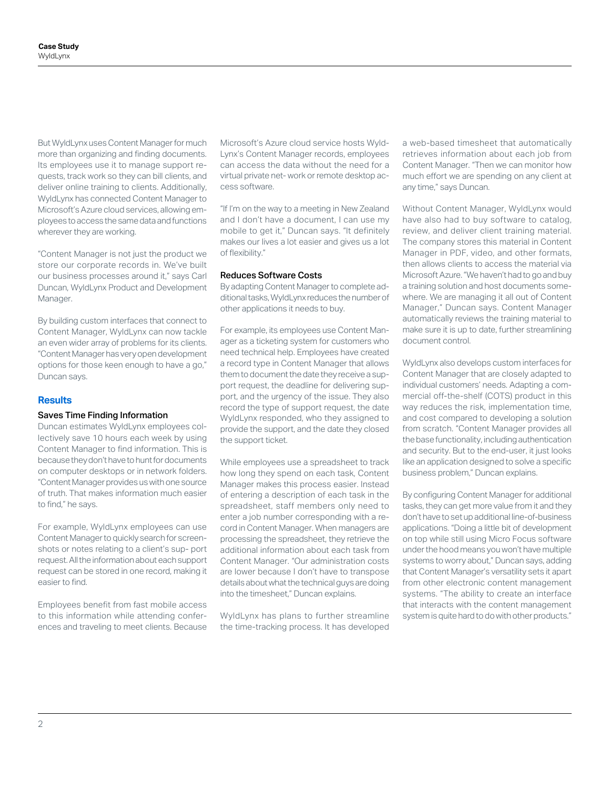But WyldLynx uses Content Manager for much more than organizing and finding documents. Its employees use it to manage support requests, track work so they can bill clients, and deliver online training to clients. Additionally, WyldLynx has connected Content Manager to Microsoft's Azure cloud services, allowing employees to access the same data and functions wherever they are working.

"Content Manager is not just the product we store our corporate records in. We've built our business processes around it," says Carl Duncan, WyldLynx Product and Development Manager.

By building custom interfaces that connect to Content Manager, WyldLynx can now tackle an even wider array of problems for its clients. "Content Manager has very open development options for those keen enough to have a go," Duncan says.

# **Results**

# Saves Time Finding Information

Duncan estimates WyldLynx employees collectively save 10 hours each week by using Content Manager to find information. This is because they don't have to hunt for documents on computer desktops or in network folders. "Content Manager provides us with one source of truth. That makes information much easier to find," he says.

For example, WyldLynx employees can use Content Manager to quickly search for screenshots or notes relating to a client's sup- port request. All the information about each support request can be stored in one record, making it easier to find.

Employees benefit from fast mobile access to this information while attending conferences and traveling to meet clients. Because

Microsoft's Azure cloud service hosts Wyld-Lynx's Content Manager records, employees can access the data without the need for a virtual private net- work or remote desktop access software.

"If I'm on the way to a meeting in New Zealand and I don't have a document, I can use my mobile to get it," Duncan says. "It definitely makes our lives a lot easier and gives us a lot of flexibility."

# Reduces Software Costs

By adapting Content Manager to complete additional tasks, WyldLynx reduces the number of other applications it needs to buy.

For example, its employees use Content Manager as a ticketing system for customers who need technical help. Employees have created a record type in Content Manager that allows them to document the date they receive a support request, the deadline for delivering support, and the urgency of the issue. They also record the type of support request, the date WyldLynx responded, who they assigned to provide the support, and the date they closed the support ticket.

While employees use a spreadsheet to track how long they spend on each task, Content Manager makes this process easier. Instead of entering a description of each task in the spreadsheet, staff members only need to enter a job number corresponding with a record in Content Manager. When managers are processing the spreadsheet, they retrieve the additional information about each task from Content Manager. "Our administration costs are lower because I don't have to transpose details about what the technical guys are doing into the timesheet," Duncan explains.

WyldLynx has plans to further streamline the time-tracking process. It has developed a web-based timesheet that automatically retrieves information about each job from Content Manager. "Then we can monitor how much effort we are spending on any client at any time," says Duncan.

Without Content Manager, WyldLynx would have also had to buy software to catalog, review, and deliver client training material. The company stores this material in Content Manager in PDF, video, and other formats, then allows clients to access the material via Microsoft Azure. "We haven't had to go and buy a training solution and host documents somewhere. We are managing it all out of Content Manager," Duncan says. Content Manager automatically reviews the training material to make sure it is up to date, further streamlining document control.

WyldLynx also develops custom interfaces for Content Manager that are closely adapted to individual customers' needs. Adapting a commercial off-the-shelf (COTS) product in this way reduces the risk, implementation time, and cost compared to developing a solution from scratch. "Content Manager provides all the base functionality, including authentication and security. But to the end-user, it just looks like an application designed to solve a specific business problem," Duncan explains.

By configuring Content Manager for additional tasks, they can get more value from it and they don't have to set up additional line-of-business applications. "Doing a little bit of development on top while still using Micro Focus software under the hood means you won't have multiple systems to worry about," Duncan says, adding that Content Manager's versatility sets it apart from other electronic content management systems. "The ability to create an interface that interacts with the content management system is quite hard to do with other products."